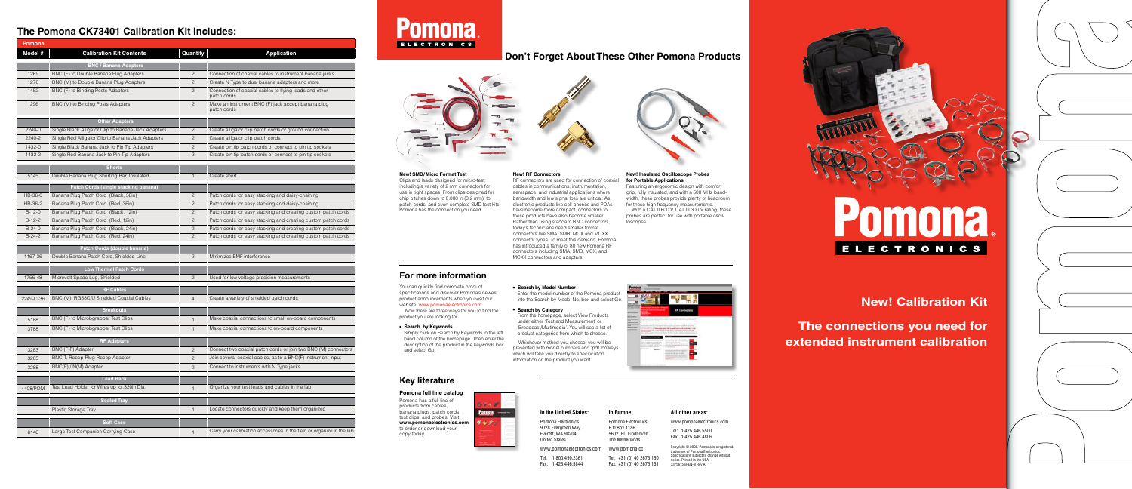# **New! Calibration Kit**

**ELECTRONICS** 

**The connections you need for extended instrument calibration**

| $\overline{\phantom{0}}$ |  |
|--------------------------|--|
|                          |  |
|                          |  |
|                          |  |
|                          |  |
|                          |  |
|                          |  |
|                          |  |
|                          |  |
|                          |  |
|                          |  |
|                          |  |
|                          |  |
|                          |  |
|                          |  |
|                          |  |
|                          |  |
|                          |  |
|                          |  |
|                          |  |
|                          |  |
|                          |  |
|                          |  |
|                          |  |
| $\bigg)$                 |  |
|                          |  |
|                          |  |
|                          |  |
|                          |  |
|                          |  |
|                          |  |
|                          |  |
|                          |  |
|                          |  |
|                          |  |
|                          |  |
|                          |  |
|                          |  |
|                          |  |
|                          |  |
|                          |  |
|                          |  |
|                          |  |
|                          |  |
|                          |  |
|                          |  |
|                          |  |
|                          |  |
|                          |  |
|                          |  |
|                          |  |
|                          |  |
|                          |  |
|                          |  |
|                          |  |
|                          |  |
|                          |  |
|                          |  |
|                          |  |
|                          |  |
|                          |  |
|                          |  |
|                          |  |
|                          |  |
|                          |  |
|                          |  |
|                          |  |
|                          |  |
|                          |  |
|                          |  |
|                          |  |
|                          |  |
|                          |  |
|                          |  |

**New! SMD/Micro Format Test** Clips and leads designed for micro-test, including a variety of 2 mm connectors for use in tight spaces. From clips designed for chip pitches down to 0.008 in (0.2 mm), to patch cords, and even complete SMD test kits, Pomona has the connection you need.

**New! RF Connectors** RF connectors are used for connection of coaxial cables in communications, instrumentation, aerospace, and industrial applications where bandwidth and low signal loss are critical. As electronic products like cell phones and PDAs have become more compact, connectors to these products have also become smaller. Rather than using standard BNC connectors, today's technicians need smaller format connectors like SMA, SMB, MCX and MCXX connector types. To meet this demand, Pomona has introduced a family of 80 new Pomona RF connectors including SMA, SMB, MCX, and MCXX connectors and adapters.

## **For more information**

# **Don't Forget About These Other Pomona Products**



#### **New! Insulated Oscilloscope Probes for Portable Applications**

Featuring an ergonomic design with comfort grip, fully insulated, and with a 500 MHz bandwidth, these probes provide plenty of headroom for those high frequency measurements. With a CAT II 600 V, CAT III 300 V rating, these probes are perfect for use with portable oscilloscopes.

## **Key literature**

#### **Pomona full line catalog**

Pomona has a full line of products from cables, banana plugs, patch cords, test clips, and probes. Visit **www.pomonaelectronics.com**  to order or download your copy today.



#### **In the United States:**

Pomona Electronics 9028 Evergreen Way Everett, WA 98204 United States

www.pomonaelectronics.com





**In Europe:** Pomona Electronics P.O.Box 1186 5602 BD Eindhoven The Netherlands

Tel: 1.800.490.2361 Fax: 1.425.446.5844 www.pomona.cc Tel: +31 (0) 40 2675 150 Fax: +31 (0) 40 2675 151

# **All other areas:**

www.pomonaelectronics.com Tel: 1.425.446.5500 Fax: 1.425.446.4806

Copyright © 2008. Pomona is a registered trademark of Pomona Electronics. Specifications subject to change without notice. Printed in the USA. 3375615 B-EN-N Rev A

You can quickly find complete product specifications and discover Pomona's newest product announcements when you visit our website: www.pomonaelectronics.com

Now there are three ways for you to find the product you are looking for.

**• Search by Keywords** 

Simply click on Search by Keywords in the left hand column of the homepage. Then enter the description of the product in the keywords box and select Go.

# **• Search by Model Number**

Enter the model number of the Pomona product into the Search by Model No. box and select Go.

#### **• Search by Category**

From the homepage, select View Products under either 'Test and Measurement' or 'Broadcast/Multimedia'. You will see a list of product categories from which to choose.

| Pomona    |                                                     |                |                                                                        |
|-----------|-----------------------------------------------------|----------------|------------------------------------------------------------------------|
| Model #   | <b>Calibration Kit Contents</b>                     | Quantity       | <b>Application</b>                                                     |
|           | <b>BNC / Banana Adapters</b>                        |                |                                                                        |
| 1269      | BNC (F) to Double Banana Plug Adapters              | $\overline{c}$ | Connection of coaxial cables to instrument banana jacks                |
| 1270      | BNC (M) to Double Banana Plug Adapters              | $\overline{2}$ | Create N Type to dual banana adapters and more                         |
| 1452      | BNC (F) to Binding Posts Adapters                   | $\overline{2}$ | Connection of coaxial cables to flying leads and other<br>patch cords  |
| 1296      | BNC (M) to Binding Posts Adapters                   | $\overline{c}$ | Make an instrument BNC (F) jack accept banana plug<br>patch cords      |
|           | <b>Other Adapters</b>                               |                |                                                                        |
| 2240-0    | Single Black Alligator Clip to Banana Jack Adapters | $\overline{c}$ | Create alligator clip patch cords or ground connection                 |
| 2240-2    | Single Red Alligator Clip to Banana Jack Adapters   | $\overline{c}$ | Create alligator clip patch cords                                      |
| 1432-0    | Single Black Banana Jack to Pin Tip Adapters        | $\overline{2}$ | Create pin tip patch cords or connect to pin tip sockets               |
| 1432-2    | Single Red Banana Jack to Pin Tip Adapters          | $\overline{c}$ | Create pin tip patch cords or connect to pin tip sockets               |
|           |                                                     |                |                                                                        |
|           | <b>Shorts</b>                                       |                |                                                                        |
| 5145      | Double Banana Plug Shorting Bar, Insulated          | 1              | Create short                                                           |
|           | Patch Cords (single stacking banana)                |                |                                                                        |
| HB-36-0   | Banana Plug Patch Cord (Black, 36in)                | $\mathbf{2}$   | Patch cords for easy stacking and daisy-chaining                       |
| HB-36-2   | Banana Plug Patch Cord (Red, 36in)                  | $\mathbf{2}$   | Patch cords for easy stacking and daisy-chaining                       |
| $B-12-0$  | Banana Plug Patch Cord (Black, 12in)                | $\overline{c}$ | Patch cords for easy stacking and creating custom patch cords          |
| $B-12-2$  | Banana Plug Patch Cord (Red, 12in)                  | $\mathbf{2}$   | Patch cords for easy stacking and creating custom patch cords          |
| $B-24-0$  | Banana Plug Patch Cord (Black, 24in)                | $\mathbf{2}$   | Patch cords for easy stacking and creating custom patch cords          |
| $B-24-2$  | Banana Plug Patch Cord (Red, 24in)                  | $\overline{2}$ | Patch cords for easy stacking and creating custom patch cords          |
|           | Patch Cords (double banana)                         |                |                                                                        |
| 1167-36   | Double Banana Patch Cord, Shielded Line             | $\overline{c}$ | Minimizes EMF interference                                             |
|           |                                                     |                |                                                                        |
|           | <b>Low Thermal Patch Cords</b>                      |                |                                                                        |
| 1756-48   | Microvolt Spade Lug, Shielded                       | $\overline{c}$ | Used for low voltage precision measurements                            |
|           | <b>RF Cables</b>                                    |                |                                                                        |
| 2249-C-36 | BNC (M), RG58C/U Shielded Coaxial Cables            | $\overline{4}$ | Create a variety of shielded patch cords                               |
|           | <b>Breakouts</b>                                    |                |                                                                        |
|           | BNC (F) to Microbgrabber Test Clips                 |                | Make coaxial connections to small on-board components                  |
| 5188      | BNC (F) to Microbgrabber Test Clips                 |                | Make coaxial connections to on-board components                        |
| 3788      |                                                     | $\mathbf{1}$   |                                                                        |
|           | <b>RF Adapters</b>                                  |                |                                                                        |
| 3283      | BNC (F-F) Adapter                                   | $\mathbf{2}$   | Connect two coaxial patch cords or join two BNC (M) connectors         |
| 3285      | BNC T, Recep-Plug-Recep Adapter                     | $\overline{2}$ | Join several coaxial cables, as to a BNC(F) instrument input           |
| 3288      | BNC(F) / N(M) Adapter                               | 2              | Connect to instruments with N Type jacks                               |
|           | <b>Lead Rack</b>                                    |                |                                                                        |
|           | Test Lead Holder for Wires up to .320in Dia.        |                | Organize your test leads and cables in the lab                         |
| 4408/POM  |                                                     | $\mathbf{1}$   |                                                                        |
|           | <b>Sealed Tray</b>                                  |                |                                                                        |
|           | Plastic Storage Tray                                | $\mathbf{1}$   | Locate connectors quickly and keep them organized                      |
|           | <b>Soft Case</b>                                    |                |                                                                        |
|           |                                                     |                | Carry your calibration accessories in the field or organize in the lab |
| 6146      | Large Test Companion Carrying Case                  | $\mathbf{1}$   |                                                                        |

# **Pomona** ELECTRONICS

Whichever method you choose, you will be presented with model numbers and 'pdf' hotkeys which will take you directly to specification information on the product you want.



# **The Pomona CK73401 Calibration Kit includes:**